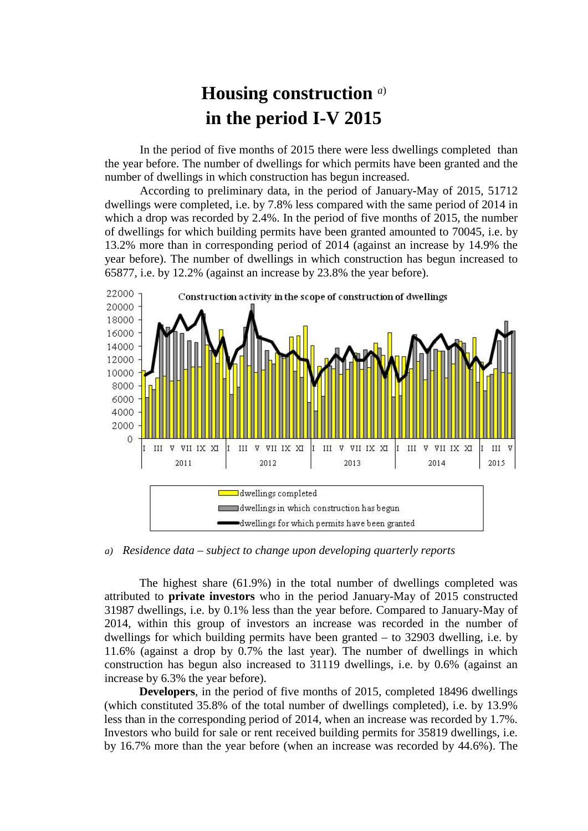## **Housing construction** *<sup>a</sup>*) **in the period I-V 2015**

In the period of five months of 2015 there were less dwellings completed than the year before. The number of dwellings for which permits have been granted and the number of dwellings in which construction has begun increased.

According to preliminary data, in the period of January-May of 2015, 51712 dwellings were completed, i.e. by 7.8% less compared with the same period of 2014 in which a drop was recorded by 2.4%. In the period of five months of 2015, the number of dwellings for which building permits have been granted amounted to 70045, i.e. by 13.2% more than in corresponding period of 2014 (against an increase by 14.9% the year before). The number of dwellings in which construction has begun increased to 65877, i.e. by 12.2% (against an increase by 23.8% the year before).



*a) Residence data – subject to change upon developing quarterly reports*

The highest share (61.9%) in the total number of dwellings completed was attributed to **private investors** who in the period January-May of 2015 constructed 31987 dwellings, i.e. by 0.1% less than the year before. Compared to January-May of 2014, within this group of investors an increase was recorded in the number of dwellings for which building permits have been granted – to 32903 dwelling, i.e. by 11.6% (against a drop by 0.7% the last year). The number of dwellings in which construction has begun also increased to 31119 dwellings, i.e. by 0.6% (against an increase by 6.3% the year before).

**Developers**, in the period of five months of 2015, completed 18496 dwellings (which constituted 35.8% of the total number of dwellings completed), i.e. by 13.9% less than in the corresponding period of 2014, when an increase was recorded by 1.7%. Investors who build for sale or rent received building permits for 35819 dwellings, i.e. by 16.7% more than the year before (when an increase was recorded by 44.6%). The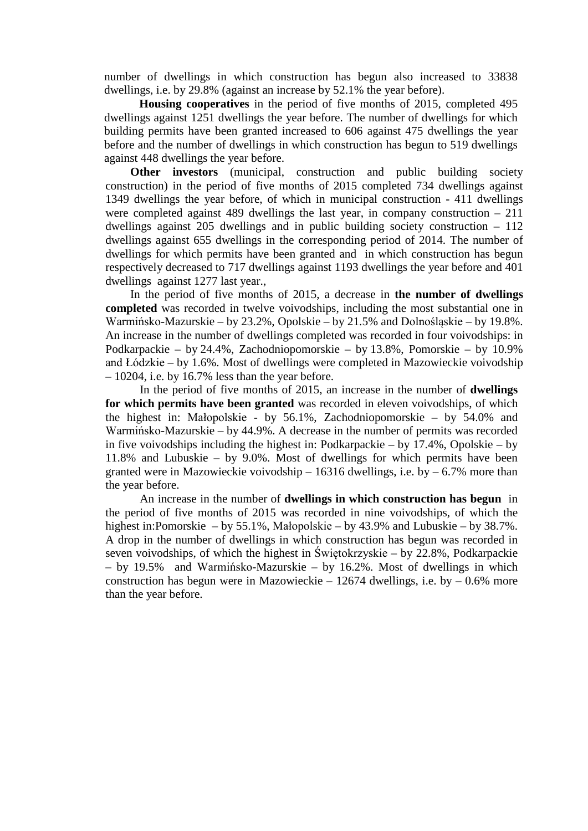number of dwellings in which construction has begun also increased to 33838 dwellings, i.e. by 29.8% (against an increase by 52.1% the year before).

**Housing cooperatives** in the period of five months of 2015, completed 495 dwellings against 1251 dwellings the year before. The number of dwellings for which building permits have been granted increased to 606 against 475 dwellings the year before and the number of dwellings in which construction has begun to 519 dwellings against 448 dwellings the year before.

**Other investors** (municipal, construction and public building society construction) in the period of five months of 2015 completed 734 dwellings against 1349 dwellings the year before, of which in municipal construction - 411 dwellings were completed against 489 dwellings the last year, in company construction  $-211$ dwellings against 205 dwellings and in public building society construction – 112 dwellings against 655 dwellings in the corresponding period of 2014. The number of dwellings for which permits have been granted and in which construction has begun respectively decreased to 717 dwellings against 1193 dwellings the year before and 401 dwellings against 1277 last year.,

In the period of five months of 2015, a decrease in **the number of dwellings completed** was recorded in twelve voivodships, including the most substantial one in Warmińsko-Mazurskie – by 23.2%, Opolskie – by 21.5% and Dolnośląskie – by 19.8%. An increase in the number of dwellings completed was recorded in four voivodships: in Podkarpackie – by 24.4%, Zachodniopomorskie – by 13.8%, Pomorskie – by 10.9% and Łódzkie – by 1.6%. Most of dwellings were completed in Mazowieckie voivodship  $-10204$ , i.e. by 16.7% less than the year before.

In the period of five months of 2015, an increase in the number of **dwellings for which permits have been granted** was recorded in eleven voivodships, of which the highest in: Małopolskie - by 56.1%, Zachodniopomorskie – by 54.0% and Warmińsko-Mazurskie – by 44.9%. A decrease in the number of permits was recorded in five voivodships including the highest in: Podkarpackie – by 17.4%, Opolskie – by 11.8% and Lubuskie – by 9.0%. Most of dwellings for which permits have been granted were in Mazowieckie voivodship – 16316 dwellings, i.e. by  $-6.7\%$  more than the year before.

An increase in the number of **dwellings in which construction has begun** in the period of five months of 2015 was recorded in nine voivodships, of which the highest in:Pomorskie – by 55.1%, Małopolskie – by 43.9% and Lubuskie – by 38.7%. A drop in the number of dwellings in which construction has begun was recorded in seven voivodships, of which the highest in Świętokrzyskie – by 22.8%, Podkarpackie – by 19.5% and Warmińsko-Mazurskie – by 16.2%. Most of dwellings in which construction has begun were in Mazowieckie – 12674 dwellings, i.e. by  $-0.6\%$  more than the year before.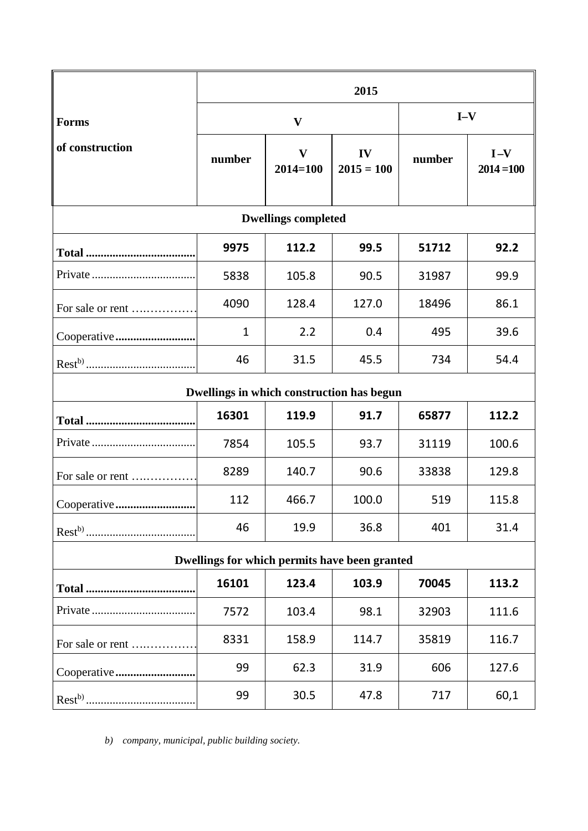|                                               | 2015         |                              |                    |        |                       |
|-----------------------------------------------|--------------|------------------------------|--------------------|--------|-----------------------|
| <b>Forms</b>                                  | $\mathbf{V}$ |                              |                    | $I-V$  |                       |
| of construction                               | number       | $\mathbf{V}$<br>$2014 = 100$ | IV<br>$2015 = 100$ | number | $I-V$<br>$2014 = 100$ |
| <b>Dwellings completed</b>                    |              |                              |                    |        |                       |
|                                               | 9975         | 112.2                        | 99.5               | 51712  | 92.2                  |
|                                               | 5838         | 105.8                        | 90.5               | 31987  | 99.9                  |
| For sale or rent                              | 4090         | 128.4                        | 127.0              | 18496  | 86.1                  |
|                                               | $\mathbf{1}$ | 2.2                          | 0.4                | 495    | 39.6                  |
|                                               | 46           | 31.5                         | 45.5               | 734    | 54.4                  |
| Dwellings in which construction has begun     |              |                              |                    |        |                       |
|                                               | 16301        | 119.9                        | 91.7               | 65877  | 112.2                 |
|                                               | 7854         | 105.5                        | 93.7               | 31119  | 100.6                 |
| For sale or rent                              | 8289         | 140.7                        | 90.6               | 33838  | 129.8                 |
| Cooperative                                   | 112          | 466.7                        | 100.0              | 519    | 115.8                 |
|                                               | 46           | 19.9                         | 36.8               | 401    | 31.4                  |
| Dwellings for which permits have been granted |              |                              |                    |        |                       |
|                                               | 16101        | 123.4                        | 103.9              | 70045  | 113.2                 |
|                                               | 7572         | 103.4                        | 98.1               | 32903  | 111.6                 |
| For sale or rent                              | 8331         | 158.9                        | 114.7              | 35819  | 116.7                 |
|                                               | 99           | 62.3                         | 31.9               | 606    | 127.6                 |
|                                               | 99           | 30.5                         | 47.8               | 717    | 60,1                  |

*b) company, municipal, public building society.*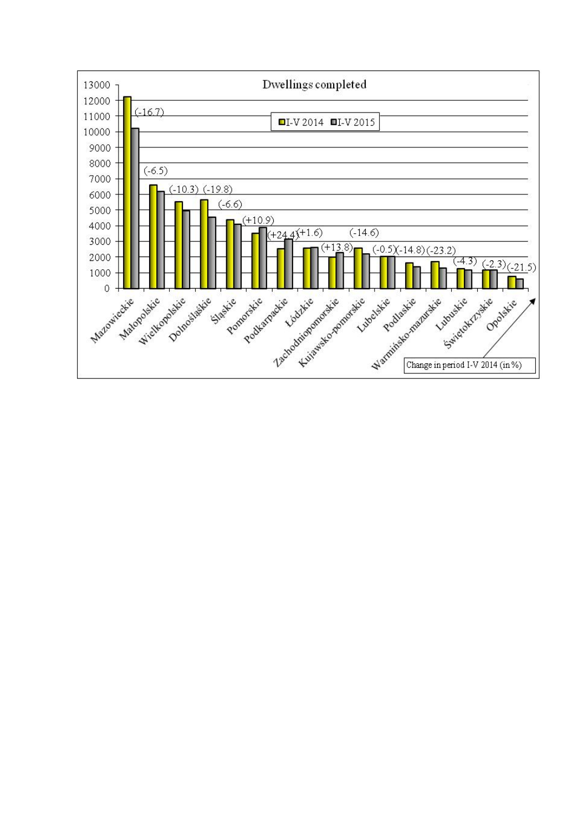